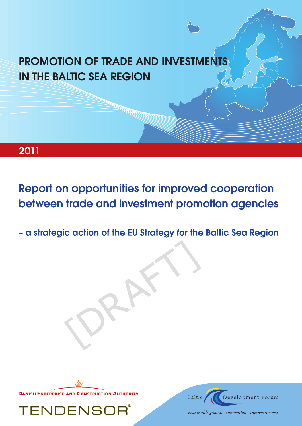# **PROMOTION OF TRADE AND INVESTMENTS IN THE BALTIC SEA REGION**

## 2011

**Report on opportunities for improved cooperation** between trade and investment promotion agencies

- a strategic action of the EU Strategy for the Baltic Sea Region



**TENDENS** 



sustainable growth  $\cdot$  innovation  $\cdot$  competitiveness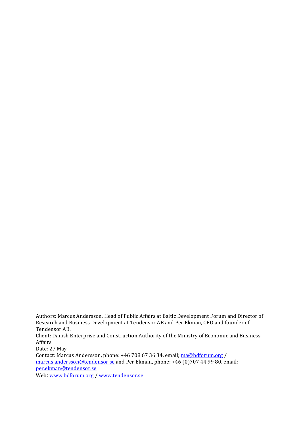Authors: Marcus Andersson, Head of Public Affairs at Baltic Development Forum and Director of Research and Business Development at Tendensor AB and Per Ekman, CEO and founder of Tendensor AB.

Client: Danish Enterprise and Construction Authority of the Ministry of Economic and Business Affairs

Date: 27 May Contact: Marcus Andersson, phone: +46 708 67 36 34, email; ma@bdforum.org / marcus.andersson@tendensor.se and Per Ekman, phone: +46 (0)707 44 99 80, email: per.ekman@tendensor.se

Web: www.bdforum.org / www.tendensor.se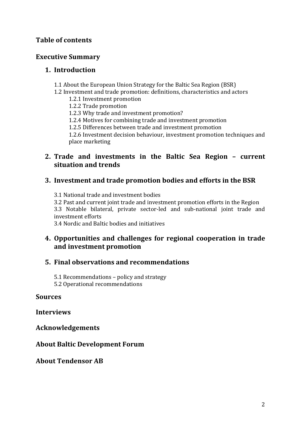## **Table of contents**

## **Executive Summary**

## **1. Introduction!**

- 1.1 About the European Union Strategy for the Baltic Sea Region (BSR)
- 1.2 Investment and trade promotion: definitions, characteristics and actors
	- 1.2.1 Investment promotion
	- 1.2.2 Trade promotion
	- 1.2.3 Why trade and investment promotion?
	- 1.2.4 Motives for combining trade and investment promotion
	- 1.2.5 Differences between trade and investment promotion

1.2.6 Investment decision behaviour, investment promotion techniques and place marketing

## **2. Trade and investments in the Baltic Sea Region - current situation!and!trends!**

## **3. Investment and trade promotion bodies and efforts in the BSR**

3.1 National trade and investment bodies

3.2 Past and current joint trade and investment promotion efforts in the Region 3.3 Notable bilateral, private sector-led and sub-national joint trade and investment efforts

3.4 Nordic and Baltic bodies and initiatives

## **4. Opportunities and challenges for regional cooperation in trade** and investment promotion

## **5. Final!observations!and!recommendations**

 $5.1$  Recommendations – policy and strategy

5.2 Operational recommendations

## **Sources**

## **Interviews!**

**Acknowledgements!**

## **About Baltic Development Forum**

## **About!Tendensor!AB!**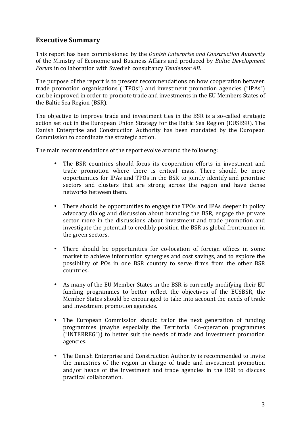## **Executive Summary**

This report has been commissioned by the *Danish Enterprise and Construction Authority* of! the!Ministry! of! Economic!and!Business!Affairs!and! produced! by!*Baltic'Development' Forum* in collaboration with Swedish consultancy *Tendensor AB*.

The purpose of the report is to present recommendations on how cooperation between trade promotion organisations ("TPOs") and investment promotion agencies ("IPAs") can be improved in order to promote trade and investments in the EU Members States of the Baltic Sea Region (BSR).

The objective to improve trade and investment ties in the BSR is a so-called strategic action set out in the European Union Strategy for the Baltic Sea Region (EUSBSR). The Danish Enterprise and Construction Authority has been mandated by the European Commission to coordinate the strategic action.

The main recommendations of the report evolve around the following:

- The BSR countries should focus its cooperation efforts in investment and trade promotion where there is critical mass. There should be more opportunities for IPAs and TPOs in the BSR to jointly identify and prioritise sectors and clusters that are strong across the region and have dense networks hetween them
- There should be opportunities to engage the TPOs and IPAs deeper in policy advocacy dialog and discussion about branding the BSR, engage the private sector more in the discussions about investment and trade promotion and investigate the potential to credibly position the BSR as global frontrunner in the green sectors.
- There should be opportunities for co-location of foreign offices in some market to achieve information synergies and cost savings, and to explore the possibility of POs in one BSR country to serve firms from the other BSR countries.
- As many of the EU Member States in the BSR is currently modifying their EU funding programmes to better reflect the objectives of the EUSBSR, the Member States should be encouraged to take into account the needs of trade and investment promotion agencies.
- The European Commission should tailor the next generation of funding programmes (maybe especially the Territorial Co-operation programmes ("INTERREG")) to better suit the needs of trade and investment promotion agencies.
- The Danish Enterprise and Construction Authority is recommended to invite the ministries of the region in charge of trade and investment promotion and/or heads of the investment and trade agencies in the BSR to discuss practical collaboration.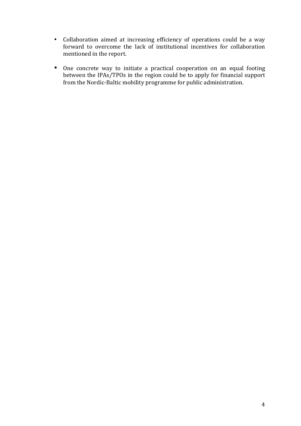- Collaboration aimed at increasing efficiency of operations could be a way forward to overcome the lack of institutional incentives for collaboration mentioned in the report.
- One concrete way to initiate a practical cooperation on an equal footing between the IPAs/TPOs in the region could be to apply for financial support from the Nordic-Baltic mobility programme for public administration.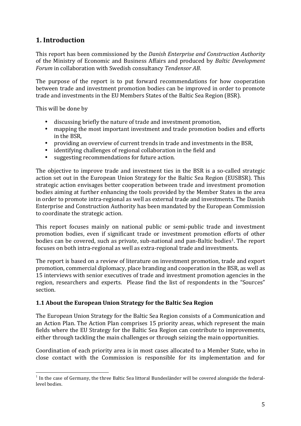## **1.** Introduction

This report has been commissioned by the *Danish Enterprise and Construction Authority* of the Ministry of Economic and Business Affairs and produced by *Baltic Development Forum* in collaboration with Swedish consultancy *Tendensor AB*.

The purpose of the report is to put forward recommendations for how cooperation between trade and investment promotion bodies can be improved in order to promote trade and investments in the EU Members States of the Baltic Sea Region (BSR).

This will be done by

- discussing briefly the nature of trade and investment promotion,
- mapping the most important investment and trade promotion bodies and efforts in the BSR.
- providing an overview of current trends in trade and investments in the BSR,
- identifying challenges of regional collaboration in the field and
- $\bullet$  suggesting recommendations for future action.

The objective to improve trade and investment ties in the BSR is a so-called strategic action set out in the European Union Strategy for the Baltic Sea Region (EUSBSR). This strategic action envisages better cooperation between trade and investment promotion bodies aiming at further enhancing the tools provided by the Member States in the area in order to promote intra-regional as well as external trade and investments. The Danish Enterprise and Construction Authority has been mandated by the European Commission to coordinate the strategic action.

This report focuses mainly on national public or semi-public trade and investment promotion bodies, even if significant trade or investment promotion efforts of other bodies can be covered, such as private, sub-national and pan-Baltic bodies<sup>1</sup>. The report focuses on both intra-regional as well as extra-regional trade and investments.

The report is based on a review of literature on investment promotion, trade and export promotion, commercial diplomacy, place branding and cooperation in the BSR, as well as 15 interviews with senior executives of trade and investment promotion agencies in the region, researchers and experts. Please find the list of respondents in the "Sources" section.

#### **1.1 About the European Union Strategy for the Baltic Sea Region**

The European Union Strategy for the Baltic Sea Region consists of a Communication and an Action Plan. The Action Plan comprises 15 priority areas, which represent the main fields where the EU Strategy for the Baltic Sea Region can contribute to improvements, either through tackling the main challenges or through seizing the main opportunities.

Coordination of each priority area is in most cases allocated to a Member State, who in close contact with the Commission is responsible for its implementation and for

 $1$  In the case of Germany, the three Baltic Sea littoral Bundesländer will be covered alongside the federallevel hodies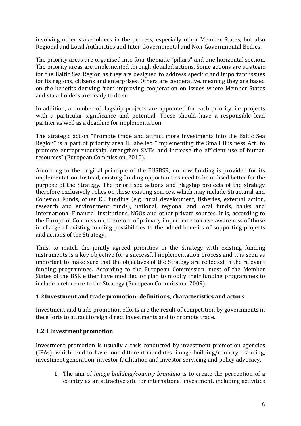involving other stakeholders in the process, especially other Member States, but also Regional and Local Authorities and Inter-Governmental and Non-Governmental Bodies.

The priority areas are organised into four thematic "pillars" and one horizontal section. The priority areas are implemented through detailed actions. Some actions are strategic for the Baltic Sea Region as they are designed to address specific and important issues for its regions, citizens and enterprises. Others are cooperative, meaning they are based on the benefits deriving from improving cooperation on issues where Member States and stakeholders are ready to do so.

In addition, a number of flagship projects are appointed for each priority, i.e. projects with a particular significance and potential. These should have a responsible lead partner as well as a deadline for implementation.

The strategic action "Promote trade and attract more investments into the Baltic Sea Region" is a part of priority area 8, labelled "Implementing the Small Business Act: to promote entrepreneurship, strengthen SMEs and increase the efficient use of human resources" (European Commission, 2010).

According to the original principle of the EUSBSR, no new funding is provided for its implementation. Instead, existing funding opportunities need to be utilised better for the purpose of the Strategy. The prioritised actions and Flagship projects of the strategy therefore exclusively relies on these existing sources, which may include Structural and Cohesion Funds, other EU funding (e.g. rural development, fisheries, external action, research and environment funds), national, regional and local funds, banks and International Financial Institutions, NGOs and other private sources. It is, according to the European Commission, therefore of primary importance to raise awareness of those in charge of existing funding possibilities to the added benefits of supporting projects and actions of the Strategy.

Thus, to match the jointly agreed priorities in the Strategy with existing funding instruments is a key objective for a successful implementation process and it is seen as important to make sure that the objectives of the Strategy are reflected in the relevant funding programmes. According to the European Commission, most of the Member States of the BSR either have modified or plan to modify their funding programmes to include a reference to the Strategy (European Commission, 2009).

#### 1.2 Investment and trade promotion: definitions, characteristics and actors

Investment and trade promotion efforts are the result of competition by governments in the efforts to attract foreign direct investments and to promote trade.

#### **1.2.1 Investment promotion**

Investment promotion is usually a task conducted by investment promotion agencies  $(IPAs)$ , which tend to have four different mandates: image building/country branding, investment generation, investor facilitation and investor servicing and policy advocacy.

1. The aim of *image building/country branding* is to create the perception of a country as an attractive site for international investment, including activities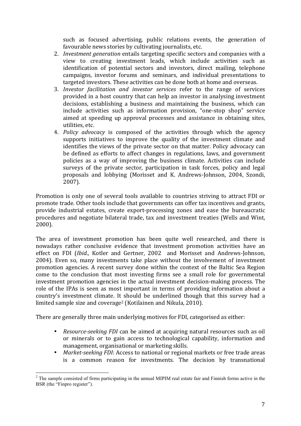such as focused advertising, public relations events, the generation of favourable news stories by cultivating journalists, etc.

- 2. *Investment generation* entails targeting specific sectors and companies with a view to creating investment leads, which include activities such as identification of potential sectors and investors, direct mailing, telephone campaigns, investor forums and seminars, and individual presentations to targeted investors. These activities can be done both at home and overseas.
- 3. *Investor facilitation and investor services* refer to the range of services provided in a host country that can help an investor in analysing investment decisions, establishing a business and maintaining the business, which can include activities such as information provision, "one-stop shop" service aimed at speeding up approval processes and assistance in obtaining sites, utilities, etc.
- 4. *Policy advocacy* is composed of the activities through which the agency supports initiatives to improve the quality of the investment climate and identifies the views of the private sector on that matter. Policy advocacy can be defined as efforts to affect changes in regulations, laws, and government policies as a way of improving the business climate. Activities can include surveys of the private sector, participation in task forces, policy and legal proposals and lobbying (Morisset and K. Andrews-Johnson, 2004, Szondi, 2007).

Promotion is only one of several tools available to countries striving to attract FDI or promote trade. Other tools include that governments can offer tax incentives and grants, provide industrial estates, create export-processing zones and ease the bureaucratic procedures and negotiate bilateral trade, tax and investment treaties (Wells and Wint,  $2000$ ).

The area of investment promotion has been quite well researched, and there is nowadays rather conclusive evidence that investment promotion activities have an effect on FDI (*Ibid.*, Kotler and Gertner, 2002 and Morisset and Andrews-Johnson, 2004). Even so, many investments take place without the involvement of investment promotion agencies. A recent survey done within the context of the Baltic Sea Region come to the conclusion that most investing firms see a small role for governmental investment promotion agencies in the actual investment decision-making process. The role of the IPAs is seen as most important in terms of providing information about a country's investment climate. It should be underlined though that this survey had a limited sample size and coverage<sup>2</sup> (Kotilainen and Nikula, 2010).

There are generally three main underlying motives for FDI, categorised as either:

- *Resource-seeking FDI* can be aimed at acquiring natural resources such as oil or minerals or to gain access to technological capability, information and management, organisational or marketing skills.
- *Market-seeking FDI*: Access to national or regional markets or free trade areas is a common reason for investments. The decision by transnational

<sup>&</sup>lt;sup>2</sup> The sample consisted of firms participating in the annual MIPIM real estate fair and Finnish forms active in the BSR (the "Finpro register").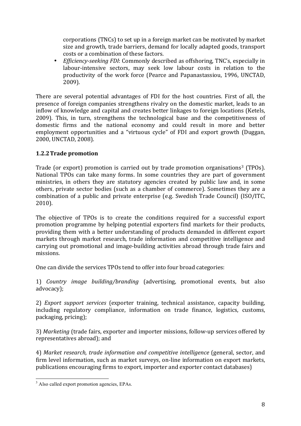corporations (TNCs) to set up in a foreign market can be motivated by market size and growth, trade barriers, demand for locally adapted goods, transport costs or a combination of these factors.

• *Efficiency-seeking FDI*: Commonly described as offshoring, TNC's, especially in labour-intensive sectors, may seek low labour costs in relation to the productivity of the work force (Pearce and Papanastassiou, 1996, UNCTAD, 2009).

There are several potential advantages of FDI for the host countries. First of all, the presence of foreign companies strengthens rivalry on the domestic market, leads to an inflow of knowledge and capital and creates better linkages to foreign locations (Ketels, 2009). This, in turn, strengthens the technological base and the competitiveness of domestic firms and the national economy and could result in more and better employment opportunities and a "virtuous cycle" of FDI and export growth (Duggan, 2000, UNCTAD, 2008).

#### **1.2.2 Trade promotion**

Trade (or export) promotion is carried out by trade promotion organisations<sup>3</sup> (TPOs). National TPOs can take many forms. In some countries they are part of government ministries, in others they are statutory agencies created by public law and, in some others, private sector bodies (such as a chamber of commerce). Sometimes they are a combination of a public and private enterprise (e.g. Swedish Trade Council) (ISO/ITC, 2010).

The objective of TPOs is to create the conditions required for a successful export promotion programme by helping potential exporters find markets for their products, providing them with a better understanding of products demanded in different export markets through market research, trade information and competitive intelligence and carrying out promotional and image-building activities abroad through trade fairs and missions.

One can divide the services TPOs tend to offer into four broad categories:

1) *Country image building/branding* (advertising, promotional events, but also advocacy);

2) *Export support services* (exporter training, technical assistance, capacity building, including regulatory compliance, information on trade finance, logistics, customs, packaging, pricing);

3) Marketing (trade fairs, exporter and importer missions, follow-up services offered by representatives abroad); and

4) *Market research, trade information and competitive intelligence* (general, sector, and firm level information, such as market surveys, on-line information on export markets, publications encouraging firms to export, importer and exporter contact databases)

<sup>&</sup>lt;sup>3</sup> Also called export promotion agencies, EPAs.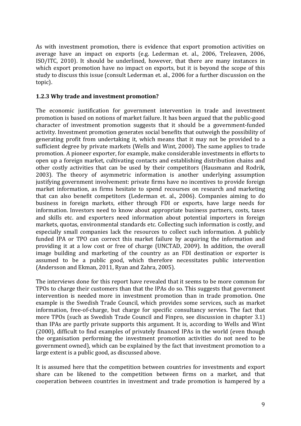As with investment promotion, there is evidence that export promotion activities on average have an impact on exports (e.g. Lederman et. al., 2006, Treleaven, 2006, ISO/ITC, 2010). It should be underlined, however, that there are many instances in which export promotion have no impact on exports, but it is beyond the scope of this study to discuss this issue (consult Lederman et. al., 2006 for a further discussion on the topic).

#### **1.2.3 Why trade and investment promotion?**

The economic justification for government intervention in trade and investment promotion is based on notions of market failure. It has been argued that the public-good character of investment promotion suggests that it should be a government-funded activity. Investment promotion generates social benefits that outweigh the possibility of generating profit from undertaking it, which means that it may not be provided to a sufficient degree by private markets (Wells and Wint, 2000). The same applies to trade promotion. A pioneer exporter, for example, make considerable investments in efforts to open up a foreign market, cultivating contacts and establishing distribution chains and other costly activities that can be used by their competitors (Hausmann and Rodrik, 2003). The theory of asymmetric information is another underlying assumption justifying government involvement: private firms have no incentives to provide foreign market information, as firms hesitate to spend recourses on research and marketing that can also benefit competitors (Lederman et. al., 2006). Companies aiming to do business in foreign markets, either through FDI or exports, have large needs for information. Investors need to know about appropriate business partners, costs, taxes and skills etc. and exporters need information about potential importers in foreign markets, quotas, environmental standards etc. Collecting such information is costly, and especially small companies lack the resources to collect such information. A publicly funded IPA or TPO can correct this market failure by acquiring the information and providing it at a low cost or free of charge (UNCTAD, 2009). In addition, the overall image building and marketing of the country as an FDI destination or exporter is assumed to be a public good, which therefore necessitates public intervention (Andersson and Ekman, 2011, Ryan and Zahra, 2005).

The interviews done for this report have revealed that it seems to be more common for TPOs to charge their customers than that the IPAs do so. This suggests that government intervention is needed more in investment promotion than in trade promotion. One example is the Swedish Trade Council, which provides some services, such as market information, free-of-charge, but charge for specific consultancy servies. The fact that more TPOs (such as Swedish Trade Council and Finpro, see discussion in chapter 3.1) than IPAs are partly private supports this argument. It is, according to Wells and Wint (2000), difficult to find examples of privately financed IPAs in the world (even though the organisation performing the investment promotion activities do not need to be government owned), which can be explained by the fact that investment promotion to a large extent is a public good, as discussed above.

It is assumed here that the competition between countries for investments and export share can be likened to the competition between firms on a market, and that cooperation between countries in investment and trade promotion is hampered by a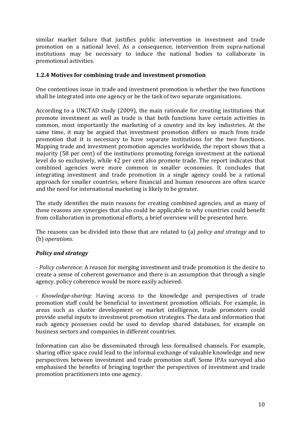similar market failure that justifies public intervention in investment and trade promotion on a national level. As a consequence, intervention from supra-national institutions may be necessary to induce the national bodies to collaborate in promotional activities.

#### **1.2.4 Motives for combining trade and investment promotion**

One contentious issue in trade and investment promotion is whether the two functions shall be integrated into one agency or be the task of two separate organisations.

According to a UNCTAD study (2009), the main rationale for creating institutions that promote investment as well as trade is that both functions have certain activities in common, most importantly the marketing of a country and its key industries. At the same time, it may be argued that investment promotion differs so much from trade promotion that it is necessary to have separate institutions for the two functions. Mapping trade and investment promotion agencies worldwide, the report shows that a majority (58 per cent) of the institutions promoting foreign investment at the national level do so exclusively, while 42 per cent also promote trade. The report indicates that combined agencies were more common in smaller economies. It concludes that integrating investment and trade promotion in a single agency could be a rational approach for smaller countries, where financial and human resources are often scarce and the need for international marketing is likely to be greater.

The study identifies the main reasons for creating combined agencies, and as many of these reasons are synergies that also could be applicable to why countries could benefit from collaboration in promotional efforts, a brief overview will be presented here.

The reasons can be divided into those that are related to (a) *policy and strategy* and to (b) *operations*.

#### *Policy'and'strategy*

- *Policy coherence*: A reason for merging investment and trade promotion is the desire to create a sense of coherent governance and there is an assumption that through a single agency, policy coherence would be more easily achieved.

*- Knowledge-sharing:* Having access to the knowledge and perspectives of trade promotion staff could be beneficial to investment promotion officials. For example, in areas such as cluster development or market intelligence, trade promoters could provide useful inputs to investment promotion strategies. The data and information that each agency possesses could be used to develop shared databases, for example on business sectors and companies in different countries.

Information can also be disseminated through less formalised channels. For example, sharing office space could lead to the informal exchange of valuable knowledge and new perspectives between investment and trade promotion staff. Some IPAs surveyed also emphasised the benefits of bringing together the perspectives of investment and trade promotion practitioners into one agency.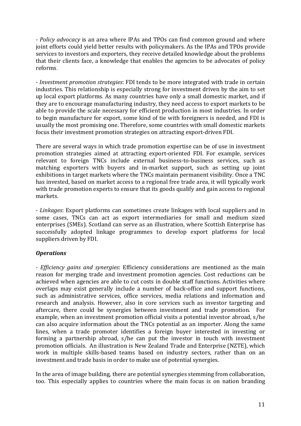- *Policy advocacy* is an area where IPAs and TPOs can find common ground and where joint efforts could vield better results with policymakers. As the IPAs and TPOs provide services to investors and exporters, they receive detailed knowledge about the problems that their clients face, a knowledge that enables the agencies to be advocates of policy reforms.

 $\sim$  *Investment promotion strategies*: FDI tends to be more integrated with trade in certain industries. This relationship is especially strong for investment driven by the aim to set up local export platforms. As many countries have only a small domestic market, and if they are to encourage manufacturing industry, they need access to export markets to be able to provide the scale necessary for efficient production in most industries. In order to begin manufacture for export, some kind of tie with foreigners is needed, and FDI is usually the most promising one. Therefore, some countries with small domestic markets focus their investment promotion strategies on attracting export-driven FDI.

There are several ways in which trade promotion expertise can be of use in investment promotion strategies aimed at attracting export-oriented FDI. For example, services relevant to foreign TNCs include external business-to-business services, such as matching exporters with buyers and in-market support, such as setting up joint exhibitions in target markets where the TNCs maintain permanent visibility. Once a TNC has invested, based on market access to a regional free trade area, it will typically work with trade promotion experts to ensure that its goods qualify and gain access to regional markets.

- Linkages: Export platforms can sometimes create linkages with local suppliers and in some cases, TNCs can act as export intermediaries for small and medium sized enterprises (SMEs). Scotland can serve as an illustration, where Scottish Enterprise has successfully adopted linkage programmes to develop export platforms for local suppliers driven by FDI.

#### *Operations'*

*A Efficiency gains and synergies*: Efficiency considerations are mentioned as the main reason for merging trade and investment promotion agencies. Cost reductions can be achieved when agencies are able to cut costs in double staff functions. Activities where overlaps may exist generally include a number of back-office and support functions, such as administrative services, office services, media relations and information and research and analysis. However, also in core services such as investor targeting and aftercare, there could be synergies between investment and trade promotion. For example, when an investment promotion official visits a potential investor abroad, s/he can also acquire information about the TNCs potential as an importer. Along the same lines, when a trade promoter identifies a foreign buyer interested in investing or forming a partnership abroad,  $s/h$ e can put the investor in touch with investment promotion officials. An illustration is New Zealand Trade and Enterprise (NZTE), which work in multiple skills-based teams based on industry sectors, rather than on an investment and trade basis in order to make use of potential synergies.

In the area of image building, there are potential synergies stemming from collaboration, too. This especially applies to countries where the main focus is on nation branding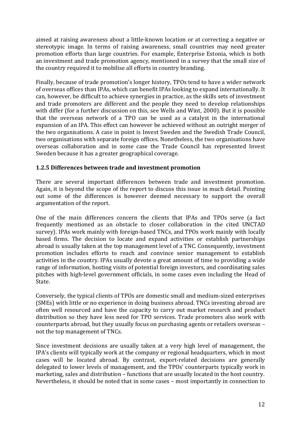aimed at raising awareness about a little-known location or at correcting a negative or stereotypic image. In terms of raising awareness, small countries may need greater promotion efforts than large countries. For example, Enterprise Estonia, which is both an investment and trade promotion agency, mentioned in a survey that the small size of the country required it to mobilise all efforts in country branding.

Finally, because of trade promotion's longer history, TPOs tend to have a wider network of overseas offices than IPAs, which can benefit IPAs looking to expand internationally. It can, however, be difficult to achieve synergies in practice, as the skills sets of investment and trade promoters are different and the people they need to develop relationships with differ (for a further discussion on this, see Wells and Wint, 2000). But it is possible that the overseas network of a TPO can be used as a catalyst in the international expansion of an IPA. This effect can however be achieved without an outright merger of the two organisations. A case in point is Invest Sweden and the Swedish Trade Council, two organisations with separate foreign offices. Nonetheless, the two organisations have overseas collaboration and in some case the Trade Council has represented Invest Sweden because it has a greater geographical coverage.

#### **1.2.5 Differences between trade and investment promotion**

There are several important differences between trade and investment promotion. Again, it is beyond the scope of the report to discuss this issue in much detail. Pointing out some of the differences is however deemed necessary to support the overall argumentation of the report.

One of the main differences concern the clients that IPAs and TPOs serve (a fact frequently mentioned as an obstacle to closer collaboration in the cited UNCTAD survey). IPAs work mainly with foreign-based TNCs, and TPOs work mainly with locally based firms. The decision to locate and expand activities or establish partnerships abroad is usually taken at the top management level of a TNC. Consequently, investment promotion includes efforts to reach and convince senior management to establish activities in the country. IPAs usually devote a great amount of time to providing a wide range of information, hosting visits of potential foreign investors, and coordinating sales pitches with high-level government officials, in some cases even including the Head of State.

Conversely, the typical clients of TPOs are domestic small and medium-sized enterprises (SMEs) with little or no experience in doing business abroad. TNCs investing abroad are often well resourced and have the capacity to carry out market research and product distribution so they have less need for TPO services. Trade promoters also work with counterparts abroad, but they usually focus on purchasing agents or retailers overseas – not the top management of TNCs.

Since investment decisions are usually taken at a very high level of management, the IPA's clients will typically work at the company or regional headquarters, which in most cases will be located abroad. By contrast, export-related decisions are generally delegated to lower levels of management, and the TPOs' counterparts typically work in marketing, sales and distribution – functions that are usually located in the host country. Nevertheless, it should be noted that in some cases – most importantly in connection to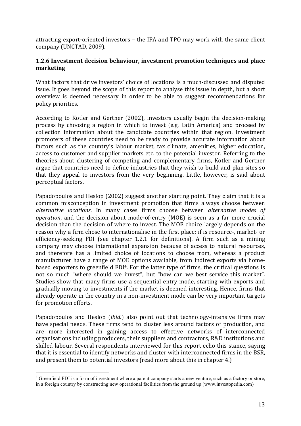attracting export-oriented investors – the IPA and TPO may work with the same client company (UNCTAD, 2009).

#### **1.2.6** Investment decision behaviour, investment promotion techniques and place **marketing**

What factors that drive investors' choice of locations is a much-discussed and disputed issue. It goes beyond the scope of this report to analyse this issue in depth, but a short overview is deemed necessary in order to be able to suggest recommendations for policy priorities.

According to Kotler and Gertner (2002), investors usually begin the decision-making process by choosing a region in which to invest (e.g. Latin America) and proceed by collection information about the candidate countries within that region. Investment promoters of these countries need to be ready to provide accurate information about factors such as the country's labour market, tax climate, amenities, higher education, access to customer and supplier markets etc. to the potential investor. Referring to the theories about clustering of competing and complementary firms, Kotler and Gertner argue that countries need to define industries that they wish to build and plan sites so that they appeal to investors from the very beginning. Little, however, is said about perceptual factors.

Papadopoulos and Heslop (2002) suggest another starting point. They claim that it is a common misconception in investment promotion that firms always choose between *alternative' locations*.! In! many! cases! firms! choose! between! *alternative' modes' of' operation*, and the decision about mode-of-entry (MOE) is seen as a far more crucial decision than the decision of where to invest. The MOE choice largely depends on the reason why a firm chose to internationalise in the first place; if is resource-, market- or efficiency-seeking FDI (see chapter 1.2.1 for definitions). A firm such as a mining company may choose international expansion because of access to natural resources, and therefore has a limited choice of locations to choose from, whereas a product manufacturer have a range of MOE options available, from indirect exports via homebased exporters to greenfield FDI<sup>4</sup>. For the latter type of firms, the critical questions is not so much "where should we invest", but "how can we best service this market". Studies show that many firms use a sequential entry mode, starting with exports and gradually moving to investments if the market is deemed interesting. Hence, firms that already operate in the country in a non-investment mode can be very important targets for promotion efforts.

Papadopoulos and Heslop *(ibid.)* also point out that technology-intensive firms may have special needs. These firms tend to cluster less around factors of production, and are more interested in gaining access to effective networks of interconnected organisations including producers, their suppliers and contractors, R&D institutions and skilled labour. Several respondents interviewed for this report echo this stance, saying that it is essential to identify networks and cluster with interconnected firms in the BSR, and present them to potential investors (read more about this in chapter 4.)

<sup>&</sup>lt;sup>4</sup> Greenfield FDI is a form of investment where a parent company starts a new venture, such as a factory or store, in a foreign country by constructing new operational facilities from the ground up (www.investopedia.com)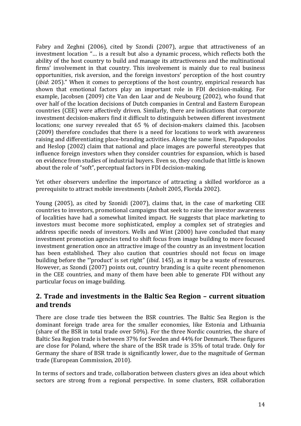Fabry and Zeghni (2006), cited by Szondi (2007), argue that attractiveness of an investment location "... is a result but also a dynamic process, which reflects both the ability of the host country to build and manage its attractiveness and the multinational firms' involvement in that country. This involvement is mainly due to real business opportunities, risk aversion, and the foreign investors' perception of the host country *(ibid: 205)."* When it comes to perceptions of the host country, empirical research has shown that emotional factors play an important role in FDI decision-making. For example, Jacobsen (2009) cite Van den Laar and de Neubourg (2002), who found that over half of the location decisions of Dutch companies in Central and Eastern European countries (CEE) were affectively driven. Similarly, there are indications that corporate investment decision-makers find it difficult to distinguish between different investment locations; one survey revealed that 65 % of decision-makers claimed this. Jacobsen  $(2009)$  therefore concludes that there is a need for locations to work with awareness raising and differentiating place-branding activities. Along the same lines, Papadopoulos and Heslop (2002) claim that national and place images are powerful stereotypes that influence foreign investors when they consider countries for expansion, which is based on evidence from studies of industrial buyers. Even so, they conclude that little is known about the role of "soft", perceptual factors in FDI decision-making.

Yet other observers underline the importance of attracting a skilled workforce as a prerequisite to attract mobile investments (Anholt 2005, Florida 2002).

Young (2005), as cited by Szonidi (2007), claims that, in the case of marketing CEE countries to investors, promotional campaigns that seek to raise the investor awareness of localities have had a somewhat limited impact. He suggests that place marketing to investors must become more sophisticated, employ a complex set of strategies and address specific needs of investors. Wells and Wint (2000) have concluded that many investment promotion agencies tend to shift focus from image building to more focused investment generation once an attractive image of the country as an investment location has been established. They also caution that countries should not focus on image building before the "'product' is set right" (*ibid.* 145), as it may be a waste of resources. However, as Szondi (2007) points out, country branding is a quite recent phenomenon in the CEE countries, and many of them have been able to generate FDI without any particular focus on image building.

## **2. Trade and investments in the Baltic Sea Region – current situation and!trends**

There are close trade ties between the BSR countries. The Baltic Sea Region is the dominant foreign trade area for the smaller economies, like Estonia and Lithuania (share of the BSR in total trade over  $50\%$ ). For the three Nordic countries, the share of Baltic Sea Region trade is between 37% for Sweden and 44% for Denmark. These figures are close for Poland, where the share of the BSR trade is 35% of total trade. Only for Germany the share of BSR trade is significantly lower, due to the magnitude of German trade (European Commission, 2010).

In terms of sectors and trade, collaboration between clusters gives an idea about which sectors are strong from a regional perspective. In some clusters, BSR collaboration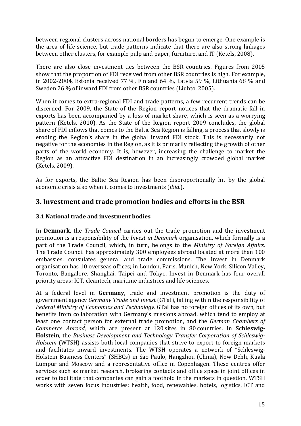between regional clusters across national borders has begun to emerge. One example is the area of life science, but trade patterns indicate that there are also strong linkages between other clusters, for example pulp and paper, furniture, and IT (Ketels, 2008).

There are also close investment ties between the BSR countries. Figures from 2005 show that the proportion of FDI received from other BSR countries is high. For example, in 2002-2004, Estonia received 77 %, Finland 64 %, Latvia 59 %, Lithuania 68 % and Sweden 26 % of inward FDI from other BSR countries (Liuhto, 2005).

When it comes to extra-regional FDI and trade patterns, a few recurrent trends can be discerned. For 2009, the State of the Region report notices that the dramatic fall in exports has been accompanied by a loss of market share, which is seen as a worrying pattern (Ketels, 2010). As the State of the Region report 2009 concludes, the global share of FDI inflows that comes to the Baltic Sea Region is falling, a process that slowly is eroding the Region's share in the global inward FDI stock. This is necessarily not negative for the economies in the Region, as it is primarily reflecting the growth of other parts of the world economy. It is, however, increasing the challenge to market the Region as an attractive FDI destination in an increasingly crowded global market (Ketels, 2009).

As for exports, the Baltic Sea Region has been disproportionally hit by the global economic crisis also when it comes to investments (*ibid*.).

## **3. Investment and trade promotion bodies and efforts in the BSR**

#### **3.1 National trade and investment bodies**

In **Denmark**, the *Trade Council* carries out the trade promotion and the investment promotion is a responsibility of the *Invest in Denmark* organisation, which formally is a part of the Trade Council, which, in turn, belongs to the *Ministry of Foreign Affairs*. The Trade Council has approximately 300 employees abroad located at more than 100 embassies, consulates general and trade commissions. The Invest in Denmark organisation has 10 overseas offices; in London, Paris, Munich, New York, Silicon Valley, Toronto, Bangalore, Shanghai, Taipei and Tokyo. Invest in Denmark has four overall priority areas: ICT, cleantech, maritime industries and life sciences.

At a federal level in Germany, trade and investment promotion is the duty of government agency *Germany Trade and Invest* (GTaI), falling within the responsibility of *Federal Ministry of Economics and Technology.* GTaI has no foreign offices of its own, but benefits from collaboration with Germany's missions abroad, which tend to employ at least one contact person for external trade promotion, and the *German Chambers of Commerce Abroad*, which are present at 120 sites in 80 countries. In **Schleswig-Holstein**, the *Business Development and Technology Transfer Corporation of Schleswig-Holstein* (WTSH) assists both local companies that strive to export to foreign markets and facilitates inward investments. The WTSH operates a network of "Schleswig-Holstein Business Centers" (SHBCs) in São Paulo, Hangzhou (China), New Dehli, Kuala Lumpur and Moscow and a representative office in Copenhagen. These centres offer services such as market research, brokering contacts and office space in joint offices in order to facilitate that companies can gain a foothold in the markets in question. WTSH works with seven focus industries: health, food, renewables, hotels, logistics, ICT and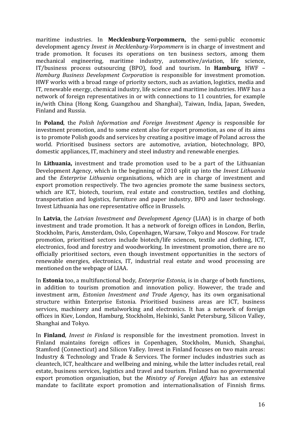maritime industries. In **Mecklenburg-Vorpommern**, the semi-public economic development agency *Invest in Mecklenburg-Vorpommern* is in charge of investment and trade promotion. It focuses its operations on ten business sectors, among them mechanical engineering, maritime industry, automotive/aviation, life science, IT/business process outsourcing (BPO), food and tourism. In **Hamburg**, HWF – *Hamburg Business Development Corporation* is responsible for investment promotion. HWF works with a broad range of priority sectors, such as aviation, logistics, media and IT, renewable energy, chemical industry, life science and maritime industries. HWF has a network of foreign representatives in or with connections to 11 countries, for example in/with China (Hong Kong, Guangzhou and Shanghai), Taiwan, India, Japan, Sweden, Finland and Russia.

In **Poland**, the *Polish Information and Foreign Investment Agency* is responsible for investment promotion, and to some extent also for export promotion, as one of its aims is to promote Polish goods and services by creating a positive image of Poland across the world. Prioritised business sectors are automotive, aviation, biotechnology, BPO, domestic appliances, IT, machinery and steel industry and renewable energies.

In **Lithuania**, investment and trade promotion used to be a part of the Lithuanian Development Agency, which in the beginning of 2010 split up into the *Invest Lithuania* and the *Enterprise Lithuania* organisations, which are in charge of investment and export promotion respectively. The two agencies promote the same business sectors, which are ICT, biotech, tourism, real estate and construction, textiles and clothing, transportation and logistics, furniture and paper industry, BPO and laser technology. Invest Lithuania has one representative office in Brussels.

In **Latvia**, the *Latvian Investment and Development Agency* (LIAA) is in charge of both investment and trade promotion. It has a network of foreign offices in London, Berlin, Stockholm, Paris, Amsterdam, Oslo, Copenhagen, Warsaw, Tokyo and Moscow. For trade promotion, prioritised sectors include biotech/life sciences, textile and clothing, ICT, electronics, food and forestry and woodworking. In investment promotion, there are no officially prioritised sectors, even though investment opportunities in the sectors of renewable energies, electronics, IT, industrial real estate and wood processing are mentioned on the webpage of LIAA.

In **Estonia** too, a multifunctional body, *Enterprise Estonia*, is in charge of both functions, in addition to tourism promotion and innovation policy. However, the trade and investment arm, *Estonian Investment and Trade Agency*, has its own organisational structure within Enterprise Estonia. Prioritised business areas are ICT, business services, machinery and metalworking and electronics. It has a network of foreign offices in Kiev, London, Hamburg, Stockholm, Helsinki, Sankt Petersburg, Silicon Valley, Shanghai and Tokyo.

In **Finland**, *Invest in Finland* is responsible for the investment promotion. Invest in Finland maintains foreign offices in Copenhagen, Stockholm, Munich, Shanghai, Stamford (Connecticut) and Silicon Valley. Invest in Finland focuses on two main areas: Industry & Technology and Trade & Services. The former includes industries such as cleantech, ICT, healthcare and wellbeing and mining, while the latter includes retail, real estate, business services, logistics and travel and tourism. Finland has no governmental export promotion organisation, but the *Ministry of Foreign Affairs* has an extensive mandate to facilitate export promotion and internationalisation of Finnish firms.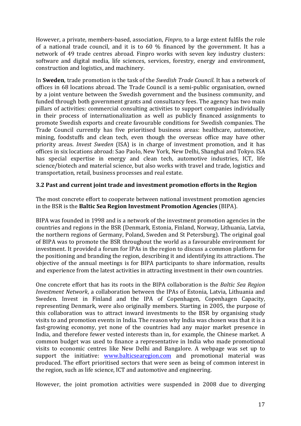However, a private, members-based, association, *Finpro*, to a large extent fulfils the role of a national trade council, and it is to  $60\%$  financed by the government. It has a network of 49 trade centres abroad. Finpro works with seven key industry clusters: software and digital media, life sciences, services, forestry, energy and environment, construction and logistics, and machinery.

In **Sweden**, trade promotion is the task of the *Swedish Trade Council*. It has a network of offices in 68 locations abroad. The Trade Council is a semi-public organisation, owned by a joint venture between the Swedish government and the business community, and funded through both government grants and consultancy fees. The agency has two main pillars of activities: commercial consulting activities to support companies individually in their process of internationalization as well as publicly financed assignments to promote Swedish exports and create favourable conditions for Swedish companies. The Trade Council currently has five prioritised business areas: healthcare, automotive, mining, foodstuffs and clean tech, even though the overseas office may have other priority areas. *Invest Sweden* (ISA) is in charge of investment promotion, and it has offices in six locations abroad: Sao Paolo, New York, New Delhi, Shanghai and Tokyo. ISA has special expertise in energy and clean tech, automotive industries, ICT, life science/biotech and material science, but also works with travel and trade, logistics and transportation, retail, business processes and real estate.

#### **3.2 Past and current joint trade and investment promotion efforts in the Region**

The most concrete effort to cooperate between national investment promotion agencies in the BSR is the **Baltic Sea Region Investment Promotion Agencies** (BIPA).

BIPA was founded in 1998 and is a network of the investment promotion agencies in the countries and regions in the BSR (Denmark, Estonia, Finland, Norway, Lithuania, Latvia, the northern regions of Germany, Poland, Sweden and St Petersburg). The original goal of BIPA was to promote the BSR throughout the world as a favourable environment for investment. It provided a forum for IPAs in the region to discuss a common platform for the positioning and branding the region, describing it and identifying its attractions. The objective of the annual meetings is for BIPA participants to share information, results and experience from the latest activities in attracting investment in their own countries.

One concrete effort that has its roots in the BIPA collaboration is the *Baltic Sea Region Investment Network*, a collaboration between the IPAs of Estonia, Latvia, Lithuania and Sweden. Invest in Finland and the IPA of Copenhagen, Copenhagen Capacity, representing Denmark, were also originally members. Starting in 2005, the purpose of this collaboration was to attract inward investments to the BSR by organising study visits to and promotion events in India. The reason why India was chosen was that it is a fast-growing economy, yet none of the countries had any major market presence in India, and therefore fewer vested interests than in, for example, the Chinese market. A common budget was used to finance a representative in India who made promotional visits to economic centres like New Delhi and Bangalore. A webpage was set up to support the initiative: www.balticsearegion.com and promotional material was produced. The effort prioritised sectors that were seen as being of common interest in the region, such as life science, ICT and automotive and engineering.

However, the joint promotion activities were suspended in 2008 due to diverging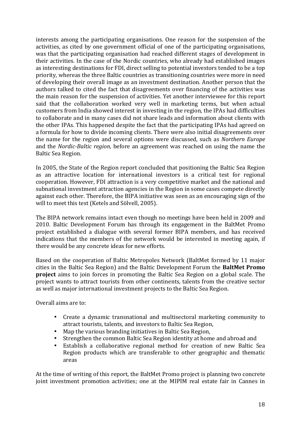interests among the participating organisations. One reason for the suspension of the activities, as cited by one government official of one of the participating organisations, was that the participating organisation had reached different stages of development in their activities. In the case of the Nordic countries, who already had established images as interesting destinations for FDI, direct selling to potential investors tended to be a top priority, whereas the three Baltic countries as transitioning countries were more in need of developing their overall image as an investment destination. Another person that the authors talked to cited the fact that disagreements over financing of the activities was the main reason for the suspension of activities. Yet another interviewee for this report said that the collaboration worked very well in marketing terms, but when actual customers from India showed interest in investing in the region, the IPAs had difficulties to collaborate and in many cases did not share leads and information about clients with the other IPAs. This happened despite the fact that the participating IPAs had agreed on a formula for how to divide incoming clients. There were also initial disagreements over the name for the region and several options were discussed, such as *Northern Europe* and the *Nordic-Baltic region*, before an agreement was reached on using the name the Baltic Sea Region.

In 2005, the State of the Region report concluded that positioning the Baltic Sea Region as an attractive location for international investors is a critical test for regional cooperation. However, FDI attraction is a very competitive market and the national and subnational investment attraction agencies in the Region in some cases compete directly against each other. Therefore, the BIPA initiative was seen as an encouraging sign of the will to meet this test (Ketels and Sölvell, 2005).

The BIPA network remains intact even though no meetings have been held in 2009 and 2010. Baltic Development Forum has through its engagement in the BaltMet Promo project established a dialogue with several former BIPA members, and has received indications that the members of the network would be interested in meeting again, if there would be any concrete ideas for new efforts.

Based on the cooperation of Baltic Metropoles Network (BaltMet formed by 11 major cities in the Baltic Sea Region) and the Baltic Development Forum the BaltMet Promo **project** aims to join forces in promoting the Baltic Sea Region on a global scale. The project wants to attract tourists from other continents, talents from the creative sector as well as major international investment projects to the Baltic Sea Region.

Overall aims are to:

- Create a dynamic transnational and multisectoral marketing community to attract tourists, talents, and investors to Baltic Sea Region,
- Map the various branding initiatives in Baltic Sea Region,
- Strengthen the common Baltic Sea Region identity at home and abroad and
- Establish a collaborative regional method for creation of new Baltic Sea Region products which are transferable to other geographic and thematic areas

At the time of writing of this report, the BaltMet Promo project is planning two concrete joint investment promotion activities; one at the MIPIM real estate fair in Cannes in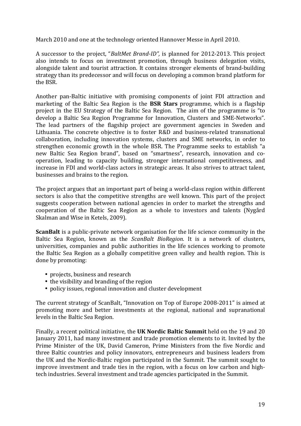March 2010 and one at the technology oriented Hannover Messe in April 2010.

A successor to the project, "*BaltMet Brand-ID"*, is planned for 2012-2013. This project also intends to focus on investment promotion, through business delegation visits, alongside talent and tourist attraction. It contains stronger elements of brand-building strategy than its predecessor and will focus on developing a common brand platform for the BSR.

Another pan-Baltic initiative with promising components of joint FDI attraction and marketing of the Baltic Sea Region is the **BSR Stars** programme, which is a flagship project in the EU Strategy of the Baltic Sea Region. The aim of the programme is "to develop a Baltic Sea Region Programme for Innovation, Clusters and SME-Networks". The lead partners of the flagship project are government agencies in Sweden and Lithuania. The concrete objective is to foster R&D and business-related transnational collaboration, including innovation systems, clusters and SME networks, in order to strengthen economic growth in the whole BSR. The Programme seeks to establish "a new Baltic Sea Region brand", based on "smartness", research, innovation and cooperation, leading to capacity building, stronger international competitiveness, and increase in FDI and world-class actors in strategic areas. It also strives to attract talent, businesses and brains to the region.

The project argues that an important part of being a world-class region within different sectors is also that the competitive strengths are well known. This part of the project suggests cooperation between national agencies in order to market the strengths and cooperation of the Baltic Sea Region as a whole to investors and talents (Nygård Skalman and Wise in Ketels, 2009).

**ScanBalt** is a public-private network organisation for the life science community in the Baltic Sea Region, known as the *ScanBalt BioRegion*. It is a network of clusters, universities, companies and public authorities in the life sciences working to promote the Baltic Sea Region as a globally competitive green valley and health region. This is done by promoting:

- projects, business and research
- the visibility and branding of the region
- policy issues, regional innovation and cluster development

The current strategy of ScanBalt, "Innovation on Top of Europe 2008-2011" is aimed at promoting more and better investments at the regional, national and supranational levels in the Baltic Sea Region.

Finally, a recent political initiative, the UK Nordic Baltic Summit held on the 19 and 20 January 2011, had many investment and trade promotion elements to it. Invited by the Prime Minister of the UK, David Cameron, Prime Ministers from the five Nordic and three Baltic countries and policy innovators, entrepreneurs and business leaders from the UK and the Nordic-Baltic region participated in the Summit. The summit sought to improve investment and trade ties in the region, with a focus on low carbon and hightech industries. Several investment and trade agencies participated in the Summit.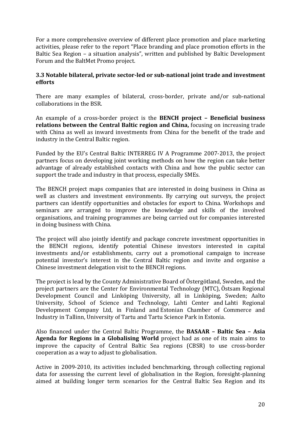For a more comprehensive overview of different place promotion and place marketing activities, please refer to the report "Place branding and place promotion efforts in the Baltic Sea Region – a situation analysis", written and published by Baltic Development Forum and the BaltMet Promo project.

#### **3.3 Notable bilateral, private sector-led or sub-national joint trade and investment efforts!**

There are many examples of bilateral, cross-border, private and/or sub-national collaborations in the BSR.

An example of a cross-border project is the **BENCH project – Beneficial business relations between the Central Baltic region and China,** focusing on increasing trade with China as well as inward investments from China for the benefit of the trade and industry in the Central Baltic region.

Funded by the EU's Central Baltic INTERREG IV A Programme 2007-2013, the project partners focus on developing joint working methods on how the region can take better advantage of already established contacts with China and how the public sector can support the trade and industry in that process, especially SMEs.

The BENCH project maps companies that are interested in doing business in China as well as clusters and investment environments. By carrying out surveys, the project partners can identify opportunities and obstacles for export to China. Workshops and seminars are arranged to improve the knowledge and skills of the involved organisations, and training programmes are being carried out for companies interested in doing business with China.

The project will also jointly identify and package concrete investment opportunities in the BENCH regions, identify potential Chinese investors interested in capital investments and/or establishments, carry out a promotional campaign to increase potential investor's interest in the Central Baltic region and invite and organise a Chinese investment delegation visit to the BENCH regions.

The project is lead by the County Administrative Board of Östergötland, Sweden, and the project partners are the Center for Environmental Technology (MTC), Östsam Regional Development Council and Linköping University, all in Linköping, Sweden; Aalto University, School of Science and Technology, Lahti Center and Lahti Regional Development Company Ltd, in Finland and Estonian Chamber of Commerce and Industry in Tallinn, University of Tartu and Tartu Science Park in Estonia.

Also financed under the Central Baltic Programme, the **BASAAR - Baltic Sea - Asia** Agenda for Regions in a Globalising World project had as one of its main aims to improve the capacity of Central Baltic Sea regions (CBSR) to use cross-border cooperation as a way to adjust to globalisation.

Active in 2009-2010, its activities included benchmarking, through collecting regional data for assessing the current level of globalisation in the Region, foresight-planning aimed at building longer term scenarios for the Central Baltic Sea Region and its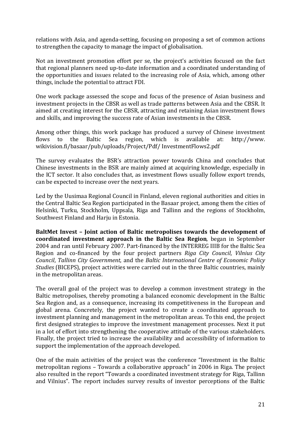relations with Asia, and agenda-setting, focusing on proposing a set of common actions to strengthen the capacity to manage the impact of globalisation.

Not an investment promotion effort per se, the project's activities focused on the fact that regional planners need up-to-date information and a coordinated understanding of the opportunities and issues related to the increasing role of Asia, which, among other things, include the potential to attract FDI.

One work package assessed the scope and focus of the presence of Asian business and investment projects in the CBSR as well as trade patterns between Asia and the CBSR. It aimed at creating interest for the CBSR, attracting and retaining Asian investment flows and skills, and improving the success rate of Asian investments in the CBSR.

Among other things, this work package has produced a survey of Chinese investment flows to the Baltic Sea region, which is available at: http://www. wikivision.fi/basaar/pub/uploads/Project/Pdf/ InvestmentFlows2.pdf

The survey evaluates the BSR's attraction power towards China and concludes that Chinese investments in the BSR are mainly aimed at acquiring knowledge, especially in the ICT sector. It also concludes that, as investment flows usually follow export trends, can be expected to increase over the next years.

Led by the Uusimaa Regional Council in Finland, eleven regional authorities and cities in the Central Baltic Sea Region participated in the Basaar project, among them the cities of Helsinki, Turku, Stockholm, Uppsala, Riga and Tallinn and the regions of Stockholm, Southwest Finland and Harju in Estonia.

**BaltMet Invest - Joint action of Baltic metropolises towards the development of coordinated investment approach in the Baltic Sea Region,** began in September 2004 and ran until February 2007. Part-financed by the INTERREG IIIB for the Baltic Sea Region and co-financed by the four project partners *Riga City Council*, *Vilnius City Council*,!*Tallinn'City'Government*,!and! the!*Baltic' International'Centre'of'Economic'Policy' Studies* (BICEPS), project activities were carried out in the three Baltic countries, mainly in the metropolitan areas.

The overall goal of the project was to develop a common investment strategy in the Baltic metropolises, thereby promoting a balanced economic development in the Baltic Sea Region and, as a consequence, increasing its competitiveness in the European and global arena. Concretely, the project wanted to create a coordinated approach to investment planning and management in the metropolitan areas. To this end, the project first designed strategies to improve the investment management processes. Next it put in a lot of effort into strengthening the cooperative attitude of the various stakeholders. Finally, the project tried to increase the availability and accessibility of information to support the implementation of the approach developed.

One of the main activities of the project was the conference "Investment in the Baltic metropolitan regions – Towards a collaborative approach" in 2006 in Riga. The project also resulted in the report "Towards a coordinated investment strategy for Riga, Tallinn and Vilnius". The report includes survey results of investor perceptions of the Baltic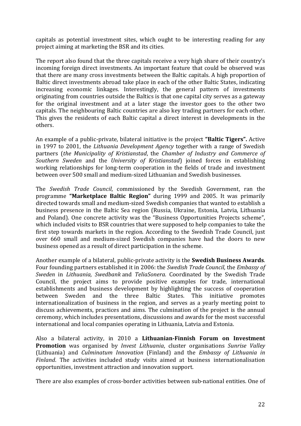capitals as potential investment sites, which ought to be interesting reading for any project aiming at marketing the BSR and its cities.

The report also found that the three capitals receive a very high share of their country's incoming foreign direct investments. An important feature that could be observed was that there are many cross investments between the Baltic capitals. A high proportion of Baltic direct investments abroad take place in each of the other Baltic States, indicating increasing economic linkages. Interestingly, the general pattern of investments originating from countries outside the Baltics is that one capital city serves as a gateway for the original investment and at a later stage the investor goes to the other two capitals. The neighbouring Baltic countries are also key trading partners for each other. This gives the residents of each Baltic capital a direct interest in developments in the others.

An example of a public-private, bilateral initiative is the project "**Baltic Tigers**". Active in 1997 to 2001, the *Lithuania Development Agency* together with a range of Swedish partners (*the Municipality of Kristianstad*, the *Chamber of Industry and Commerce of Southern' Sweden* and the *University of Kristianstad*) joined forces in establishing working relationships for long-term cooperation in the fields of trade and investment between over 500 small and medium-sized Lithuanian and Swedish businesses.

The *Swedish Trade Council*, commissioned by the Swedish Government, ran the programme "Marketplace Baltic Region" during 1999 and 2005. It was primarily directed towards small and medium-sized Swedish companies that wanted to establish a business presence in the Baltic Sea region (Russia, Ukraine, Estonia, Latvia, Lithuania and Poland). One concrete activity was the "Business Opportunities Projects scheme", which included visits to BSR countries that were supposed to help companies to take the first step towards markets in the region. According to the Swedish Trade Council, just over 660 small and medium-sized Swedish companies have had the doors to new business opened as a result of direct participation in the scheme.

Another example of a bilateral, public-private activity is the **Swedish Business Awards**. Four founding partners established it in 2006: the *Swedish Trade Council*, the *Embassy of Sweden* in *Lithuania, Swedbank* and *TeliaSonera.* Coordinated by the Swedish Trade Council, the project aims to provide positive examples for trade, international establishments and business development by highlighting the success of cooperation between Sweden and the three Baltic States. This initiative promotes internationalization of business in the region, and serves as a yearly meeting point to discuss achievements, practices and aims. The culmination of the project is the annual ceremony, which includes presentations, discussions and awards for the most successful international and local companies operating in Lithuania, Latvia and Estonia.

Also a bilateral activity, in 2010 a Lithuanian-Finnish Forum on Investment **Promotion** was organised by *Invest Lithuania*, cluster organisations *Sunrise Valley* (Lithuania)! and! *Culminatum' Innovation*! (Finland)! and! the! *Embassy' of' Lithuania' in' Finland*. The activities included study visits aimed at business internationalisation opportunities, investment attraction and innovation support.

There are also examples of cross-border activities between sub-national entities. One of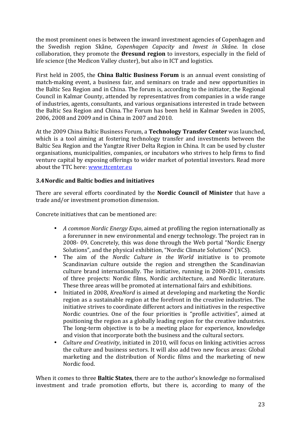the most prominent ones is between the inward investment agencies of Copenhagen and the Swedish region Skåne, Copenhagen Capacity and *Invest in Skåne*. In close collaboration, they promote the **Øresund region** to investors, especially in the field of life science (the Medicon Valley cluster), but also in ICT and logistics.

First held in 2005, the **China Baltic Business Forum** is an annual event consisting of match-making event, a business fair, and seminars on trade and new opportunities in the Baltic Sea Region and in China. The forum is, according to the initiator, the Regional Council in Kalmar County, attended by representatives from companies in a wide range of industries, agents, consultants, and various organisations interested in trade between the Baltic Sea Region and China. The Forum has been held in Kalmar Sweden in 2005, 2006, 2008 and 2009 and in China in 2007 and 2010.

At the 2009 China Baltic Business Forum, a **Technology Transfer Center** was launched, which is a tool aiming at fostering technology transfer and investments between the Baltic Sea Region and the Yangtze River Delta Region in China. It can be used by cluster organisations, municipalities, companies, or incubators who strives to help firms to find venture capital by exposing offerings to wider market of potential investors. Read more about the TTC here: www.ttcenter.eu

#### **3.4Nordic!and!Baltic!bodies!and!initiatives!!**

There are several efforts coordinated by the **Nordic Council of Minister** that have a trade and/or investment promotion dimension.

Concrete initiatives that can be mentioned are:

- *A common Nordic Energy Expo*, aimed at profiling the region internationally as a forerunner in new environmental and energy technology. The project ran in 2008- 09. Concretely, this was done through the Web portal "Nordic Energy" Solutions", and the physical exhibition, "Nordic Climate Solutions" (NCS).
- The aim of the *Nordic Culture in the World* initiative is to promote Scandinavian culture outside the region and strengthen the Scandinavian culture brand internationally. The initiative, running in 2008-2011, consists of three projects: Nordic films, Nordic architecture, and Nordic literature. These three areas will be promoted at international fairs and exhibitions.
- Initiated in 2008, *KreaNord* is aimed at developing and marketing the Nordic region as a sustainable region at the forefront in the creative industries. The initiative strives to coordinate different actors and initiatives in the respective Nordic countries. One of the four priorities is "profile activities", aimed at positioning the region as a globally leading region for the creative industries. The long-term objective is to be a meeting place for experience, knowledge and vision that incorporate both the business and the cultural sectors.
- *Culture and Creativity*, initiated in 2010, will focus on linking activities across the culture and business sectors. It will also add two new focus areas: Global marketing and the distribution of Nordic films and the marketing of new Nordic food

When it comes to three **Baltic States**, there are to the author's knowledge no formalised investment and trade promotion efforts, but there is, according to many of the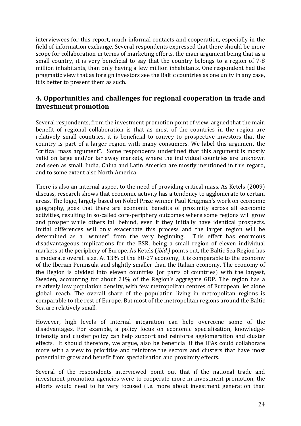interviewees for this report, much informal contacts and cooperation, especially in the field of information exchange. Several respondents expressed that there should be more scope for collaboration in terms of marketing efforts, the main argument being that as a small country, it is very beneficial to say that the country belongs to a region of 7-8 million inhabitants, than only having a few million inhabitants. One respondent had the pragmatic view that as foreign investors see the Baltic countries as one unity in any case, it is better to present them as such.

## **4. Opportunities and challenges for regional cooperation in trade and investment!promotion**

Several respondents, from the investment promotion point of view, argued that the main benefit of regional collaboration is that as most of the countries in the region are relatively small countries, it is beneficial to convey to prospective investors that the country is part of a larger region with many consumers. We label this argument the "critical mass argument". Some respondents underlined that this argument is mostly valid on large and/or far away markets, where the individual countries are unknown and seen as small. India, China and Latin America are mostly mentioned in this regard, and to some extent also North America.

There is also an internal aspect to the need of providing critical mass. As Ketels (2009) discuss, research shows that economic activity has a tendency to agglomerate to certain areas. The logic, largely based on Nobel Prize winner Paul Krugman's work on economic geography, goes that there are economic benefits of proximity across all economic activities, resulting in so-called core-periphery outcomes where some regions will grow and prosper while others fall behind, even if they initially have identical prospects. Initial differences will only exacerbate this process and the larger region will be determined as a "winner" from the very beginning. This effect has enormous disadvantageous implications for the BSR, being a small region of eleven individual markets at the periphery of Europe. As Ketels (*ibid.*) points out, the Baltic Sea Region has a moderate overall size. At 13% of the EU-27 economy, it is comparable to the economy of the Iberian Peninsula and slightly smaller than the Italian economy. The economy of the Region is divided into eleven countries (or parts of countries) with the largest, Sweden, accounting for about 21% of the Region's aggregate GDP. The region has a relatively low population density, with few metropolitan centres of European, let alone global, reach. The overall share of the population living in metropolitan regions is comparable to the rest of Europe. But most of the metropolitan regions around the Baltic Sea are relatively small.

However, high levels of internal integration can help overcome some of the disadvantages. For example, a policy focus on economic specialisation, knowledgeintensity and cluster policy can help support and reinforce agglomeration and cluster effects. It should therefore, we argue, also be beneficial if the IPAs could collaborate more with a view to prioritise and reinforce the sectors and clusters that have most potential to grow and benefit from specialisation and proximity effects.

Several of the respondents interviewed point out that if the national trade and investment promotion agencies were to cooperate more in investment promotion, the efforts would need to be very focused (i.e. more about investment generation than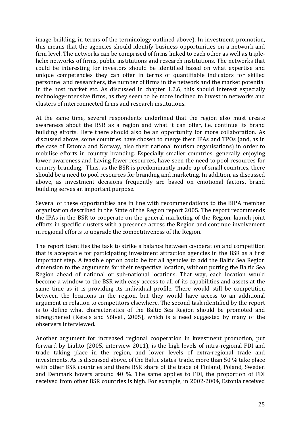image building, in terms of the terminology outlined above). In investment promotion, this means that the agencies should identify business opportunities on a network and firm level. The networks can be comprised of firms linked to each other as well as triplehelix networks of firms, public institutions and research institutions. The networks that could be interesting for investors should be identified based on what expertise and unique competencies they can offer in terms of quantifiable indicators for skilled personnel and researchers, the number of firms in the network and the market potential in the host market etc. As discussed in chapter 1.2.6, this should interest especially technology-intensive firms, as they seem to be more inclined to invest in networks and clusters of interconnected firms and research institutions.

At the same time, several respondents underlined that the region also must create awareness about the BSR as a region and what it can offer, i.e. continue its brand building efforts. Here there should also be an opportunity for more collaboration. As discussed above, some countries have chosen to merge their IPAs and TPOs (and, as in the case of Estonia and Norway, also their national tourism organisations) in order to mobilise efforts in country branding. Especially smaller countries, generally enjoying lower awareness and having fewer resources, have seen the need to pool resources for country branding. Thus, as the BSR is predominantly made up of small countries, there should be a need to pool resources for branding and marketing. In addition, as discussed above, as investment decisions frequently are based on emotional factors, brand building serves an important purpose.

Several of these opportunities are in line with recommendations to the BIPA member organisation described in the State of the Region report 2005. The report recommends the IPAs in the BSR to cooperate on the general marketing of the Region, launch joint efforts in specific clusters with a presence across the Region and continue involvement in regional efforts to upgrade the competitiveness of the Region.

The report identifies the task to strike a balance between cooperation and competition that is acceptable for participating investment attraction agencies in the BSR as a first important step. A feasible option could be for all agencies to add the Baltic Sea Region dimension to the arguments for their respective location, without putting the Baltic Sea Region ahead of national or sub-national locations. That way, each location would become a window to the BSR with easy access to all of its capabilities and assets at the same time as it is providing its individual profile. There would still be competition between the locations in the region, but they would have access to an additional argument in relation to competitors elsewhere. The second task identified by the report is to define what characteristics of the Baltic Sea Region should be promoted and strengthened (Ketels and Sölvell, 2005), which is a need suggested by many of the observers interviewed.

Another argument for increased regional cooperation in investment promotion, put forward by Liuhto (2005, interview 2011), is the high levels of intra-regional FDI and trade taking place in the region, and lower levels of extra-regional trade and investments. As is discussed above, of the Baltic states' trade, more than 50 % take place with other BSR countries and there BSR share of the trade of Finland, Poland, Sweden and Denmark hovers around 40 %. The same applies to FDI, the proportion of FDI received from other BSR countries is high. For example, in 2002-2004, Estonia received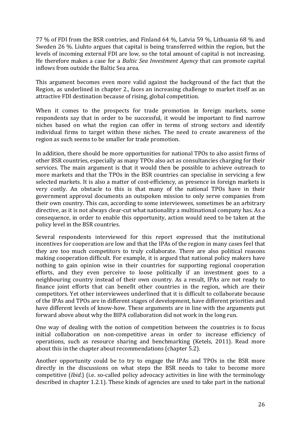77 % of FDI from the BSR contries, and Finland 64 %, Latvia 59 %, Lithuania 68 % and Sweden 26 %. Liuhto argues that capital is being transferred within the region, but the levels of incoming external FDI are low, so the total amount of capital is not increasing. He therefore makes a case for a *Baltic Sea Investment Agency* that can promote capital inflows from outside the Baltic Sea area.

This argument becomes even more valid against the background of the fact that the Region, as underlined in chapter 2., faces an increasing challenge to market itself as an attractive FDI destination because of rising, global competition.

When it comes to the prospects for trade promotion in foreign markets, some respondents say that in order to be successful, it would be important to find narrow niches based on what the region can offer in terms of strong sectors and identify individual firms to target within these niches. The need to create awareness of the region as such seems to be smaller for trade promotion.

In addition, there should be more opportunities for national TPOs to also assist firms of other BSR countries, especially as many TPOs also act as consultancies charging for their services. The main argument is that it would then be possible to achieve outreach to more markets and that the TPOs in the BSR countries can specialise in servicing a few selected markets. It is also a matter of cost-efficiency, as presence in foreign markets is very costly. An obstacle to this is that many of the national TPOs have in their government approval documents an outspoken mission to only serve companies from their own country. This can, according to some interviewees, sometimes be an arbitrary directive, as it is not always clear-cut what nationality a multinational company has. As a consequence, in order to enable this opportunity, action would need to be taken at the policy level in the BSR countries.

Several respondents interviewed for this report expressed that the institutional incentives for cooperation are low and that the IPAs of the region in many cases feel that they are too much competitors to truly collaborate. There are also political reasons making cooperation difficult. For example, it is argued that national policy makers have nothing to gain opinion wise in their countries for supporting regional cooperation efforts, and they even perceive to loose politically if an investment goes to a neighbouring country instead of their own country. As a result, IPAs are not ready to finance joint efforts that can benefit other countries in the region, which are their competitors. Yet other interviewees underlined that it is difficult to collaborate because of the IPAs and TPOs are in different stages of development, have different priorities and have different levels of know-how. These arguments are in line with the arguments put forward above about why the BIPA collaboration did not work in the long run.

One way of dealing with the notion of competition between the countries is to focus initial collaboration on non-competitive areas in order to increase efficiency of operations, such as resource sharing and benchmarking (Ketels, 2011). Read more about this in the chapter about recommendations (chapter 5.2).

Another opportunity could be to try to engage the IPAs and TPOs in the BSR more directly in the discussions on what steps the BSR needs to take to become more competitive *(Ibid.)* (i.e. so-called policy advocacy activities in line with the terminology described in chapter 1.2.1). These kinds of agencies are used to take part in the national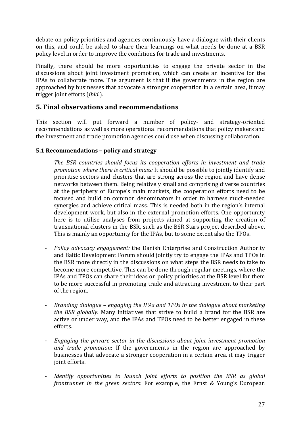debate on policy priorities and agencies continuously have a dialogue with their clients on this, and could be asked to share their learnings on what needs be done at a BSR policy level in order to improve the conditions for trade and investments.

Finally, there should be more opportunities to engage the private sector in the discussions about joint investment promotion, which can create an incentive for the IPAs to collaborate more. The argument is that if the governments in the region are approached by businesses that advocate a stronger cooperation in a certain area, it may trigger joint efforts *(ibid.)*.

## **5. Final observations and recommendations**

This section will put forward a number of policy- and strategy-oriented recommendations as well as more operational recommendations that policy makers and the investment and trade promotion agencies could use when discussing collaboration.

#### **5.1 Recommendations - policy and strategy**

*The' BSR' countries' should' focus' its' cooperation' efforts' in' investment' and' trade' promotion where there is critical mass:* It should be possible to jointly identify and prioritise sectors and clusters that are strong across the region and have dense networks between them. Being relatively small and comprising diverse countries at the periphery of Europe's main markets, the cooperation efforts need to be focused and build on common denominators in order to harness much-needed synergies and achieve critical mass. This is needed both in the region's internal development work, but also in the external promotion efforts. One opportunity here is to utilise analyses from projects aimed at supporting the creation of transnational clusters in the BSR, such as the BSR Stars project described above. This is mainly an opportunity for the IPAs, but to some extent also the TPOs.

- *Policy advocacy engagement:* the Danish Enterprise and Construction Authority and Baltic Development Forum should jointly try to engage the IPAs and TPOs in the BSR more directly in the discussions on what steps the BSR needs to take to become more competitive. This can be done through regular meetings, where the IPAs and TPOs can share their ideas on policy priorities at the BSR level for them to be more successful in promoting trade and attracting investment to their part of the region.
- \_ *Branding'dialogue'–'engaging'the'IPAs'and'TPOs'in'the'dialogue'about'marketing' the BSR globally.* Many initiatives that strive to build a brand for the BSR are active or under way, and the IPAs and TPOs need to be better engaged in these efforts.
- \_ *Engaging' the' privare' sector' in' the' discussions' about' joint' investment' promotion and trade promotion*: If the governments in the region are approached by businesses that advocate a stronger cooperation in a certain area, it may trigger joint efforts.
- *Identify opportunities to launch joint efforts to position the BSR as global frontrunner in the green sectors*: For example, the Ernst & Young's European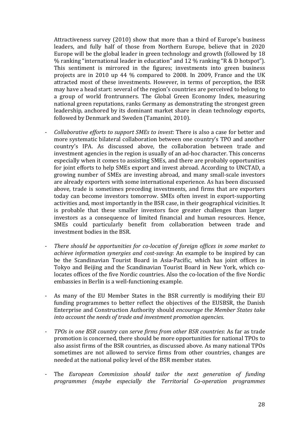Attractiveness survey (2010) show that more than a third of Europe's business leaders, and fully half of those from Northern Europe, believe that in 2020 Europe will be the global leader in green technology and growth (followed by 18 % ranking "international leader in education" and 12 % ranking "R & D hotspot"). This sentiment is mirrored in the figures; investments into green business projects are in 2010 up 44 % compared to 2008. In 2009, France and the UK attracted most of these investments. However, in terms of perception, the BSR may have a head start: several of the region's countries are perceived to belong to a group of world frontrunners. The Global Green Economy Index, measuring national green reputations, ranks Germany as demonstrating the strongest green leadership, anchored by its dominant market share in clean technology exports, followed by Denmark and Sweden (Tamanini, 2010).

- *Collaborative efforts to support SMEs to invest: There is also a case for better and* more systematic bilateral collaboration between one country's TPO and another country's IPA. As discussed above, the collaboration between trade and investment agencies in the region is usually of an ad-hoc character. This concerns especially when it comes to assisting SMEs, and there are probably opportunities for joint efforts to help SMEs export and invest abroad. According to UNCTAD, a growing number of SMEs are investing abroad, and many small-scale investors are already exporters with some international experience. As has been discussed above, trade is sometimes preceding investments, and firms that are exporters today can become investors tomorrow. SMEs often invest in export-supporting activities and, most importantly in the BSR case, in their geographical vicinities. It is probable that these smaller investors face greater challenges than larger investors as a consequence of limited financial and human resources. Hence, SMEs could particularly benefit from collaboration between trade and investment bodies in the BSR.
- There should be opportunities for co-location of foreign offices in some market to *achieve information synergies and cost-saving*: An example to be inspired by can be the Scandinavian Tourist Board in Asia-Pacific, which has joint offices in Tokyo and Beijing and the Scandinavian Tourist Board in New York, which colocates offices of the five Nordic countries. Also the co-location of the five Nordic embassies in Berlin is a well-functioning example.
- As many of the EU Member States in the BSR currently is modifying their EU funding programmes to better reflect the objectives of the EUSBSR, the Danish Enterprise!and!Construction!Authority!should!*encourage'the'Member'States'take'* into account the needs of trade and investment promotion agencies.
- TPOs in one BSR country can serve firms from other BSR countries: As far as trade promotion is concerned, there should be more opportunities for national TPOs to also assist firms of the BSR countries, as discussed above. As many national TPOs sometimes are not allowed to service firms from other countries, changes are needed at the national policy level of the BSR member states.
- \_ The! *European' Commission should' tailor' the' next' generation' of' funding' programmes (maybe especially the Territorial Co-operation programmes*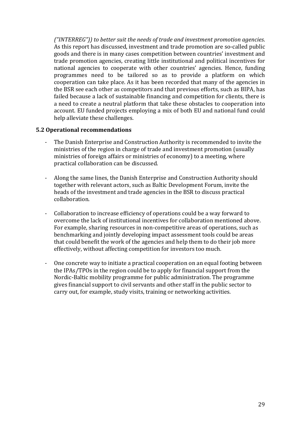("INTERREG")) to better suit the needs of trade and investment promotion agencies. As this report has discussed, investment and trade promotion are so-called public goods and there is in many cases competition between countries' investment and trade promotion agencies, creating little institutional and political incentives for national agencies to cooperate with other countries' agencies. Hence, funding programmes need to be tailored so as to provide a platform on which cooperation can take place. As it has been recorded that many of the agencies in the BSR see each other as competitors and that previous efforts, such as BIPA, has failed because a lack of sustainable financing and competition for clients, there is a need to create a neutral platform that take these obstacles to cooperation into account. EU funded projects employing a mix of both EU and national fund could help alleviate these challenges.

#### **5.2 Operational recommendations**

- The Danish Enterprise and Construction Authority is recommended to invite the ministries of the region in charge of trade and investment promotion (usually ministries of foreign affairs or ministries of economy) to a meeting, where practical collaboration can be discussed.
- Along the same lines, the Danish Enterprise and Construction Authority should together with relevant actors, such as Baltic Development Forum, invite the heads of the investment and trade agencies in the BSR to discuss practical collaboration.
- Collaboration to increase efficiency of operations could be a way forward to overcome the lack of institutional incentives for collaboration mentioned above. For example, sharing resources in non-competitive areas of operations, such as benchmarking and jointly developing impact assessment tools could be areas that could benefit the work of the agencies and help them to do their job more effectively, without affecting competition for investors too much.
- One concrete way to initiate a practical cooperation on an equal footing between the IPAs/TPOs in the region could be to apply for financial support from the Nordic-Baltic mobility programme for public administration. The programme gives financial support to civil servants and other staff in the public sector to carry out, for example, study visits, training or networking activities.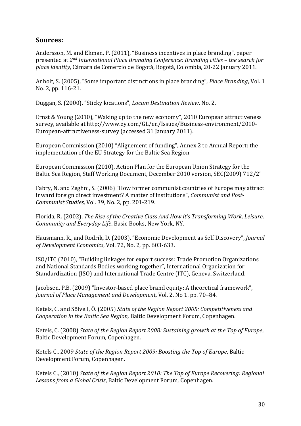## **Sources:!**

Andersson, M. and Ekman, P. (2011), "Business incentives in place branding", paper presented!at!*2nd'International'Place'Branding'Conference:'Branding'cities'–'the'search'for' place identity*, Cámara de Comercio de Bogotá, Bogotá, Colombia, 20-22 January 2011.

Anholt, S. (2005), "Some important distinctions in place branding", *Place Branding*, Vol. 1 No. 2, pp. 116-21.

Duggan, S. (2000), "Sticky locations", *Locum Destination Review*, No. 2.

Ernst & Young (2010), "Waking up to the new economy", 2010 European attractiveness survey, available at http://www.ey.com/GL/en/Issues/Business-environment/2010-European-attractiveness-survey (accessed 31 January 2011).

European Commission (2010) "Alignement of funding", Annex 2 to Annual Report: the implementation of the EU Strategy for the Baltic Sea Region

European Commission (2010), Action Plan for the European Union Strategy for the Baltic Sea Region, Staff Working Document, December 2010 version, SEC(2009) 712/2'

Fabry, N. and Zeghni, S. (2006) "How former communist countries of Europe may attract inward foreign direct investment? A matter of institutions", *Communist and Post-Communist Studies, Vol. 39, No. 2, pp. 201-219.* 

Florida, R. (2002), *The Rise of the Creative Class And How it's Transforming Work, Leisure, Community and Everyday Life*, Basic Books, New York, NY.

Hausmann, R., and Rodrik, D. (2003), "Economic Development as Self Discovery", *Journal of Development Economics*, Vol. 72, No. 2, pp. 603-633.

ISO/ITC (2010), "Building linkages for export success: Trade Promotion Organizations and National Standards Bodies working together", International Organization for Standardization (ISO) and International Trade Centre (ITC), Geneva, Switzerland.

Jacobsen, P.B. (2009) "Investor-based place brand equity: A theoretical framework", *Journal of Place Management and Development*, Vol. 2, No 1. pp. 70–84.

Ketels, C. and Sölvell, Ö. (2005) *State of the Region Report 2005: Competitiveness and Cooperation in the Baltic Sea Region,* Baltic Development Forum, Copenhagen.

Ketels, C. (2008) *State of the Region Report 2008: Sustaining growth at the Top of Europe*, Baltic Development Forum, Copenhagen.

Ketels C., 2009 *State of the Region Report 2009: Boosting the Top of Europe*, Baltic Development Forum, Copenhagen.

Ketels C., (2010) *State of the Region Report 2010: The Top of Europe Recovering: Regional* Lessons from a Global Crisis, Baltic Development Forum, Copenhagen.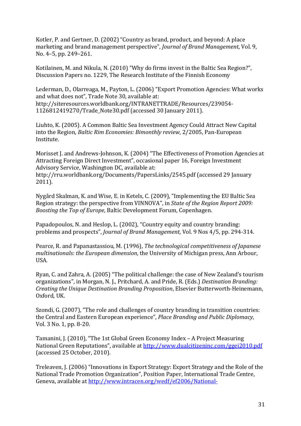Kotler, P. and Gertner, D. (2002) "Country as brand, product, and beyond: A place marketing and brand management perspective", *Journal of Brand Management*, Vol. 9, No. 4–5, pp. 249–261.

Kotilainen, M. and Nikula, N. (2010) "Why do firms invest in the Baltic Sea Region?", Discussion Papers no. 1229. The Research Institute of the Finnish Economy

Lederman, D., Olarreaga, M., Payton, L. (2006) "Export Promotion Agencies: What works and what does not", Trade Note 30, available at: http://siteresources.worldbank.org/INTRANETTRADE/Resources/239054\_ 1126812419270/Trade Note30.pdf (accessed 30 January 2011).

Liuhto, K. (2005). A Common Baltic Sea Investment Agency Could Attract New Capital into the Region, *Baltic Rim Economies: Bimonthly review*, 2/2005, Pan-European Institute.

Morisset J. and Andrews-Johnson, K. (2004) "The Effectiveness of Promotion Agencies at Attracting Foreign Direct Investment", occasional paper 16, Foreign Investment Advisory Service, Washington DC, available at: http://rru.worldbank.org/Documents/PapersLinks/2545.pdf (accessed 29 January 2011).

Nygård Skalman, K. and Wise, E. in Ketels, C. (2009), "Implementing the EU Baltic Sea Region strategy: the perspective from VINNOVA", in *State of the Region Report 2009: Boosting the Top of Europe*, Baltic Development Forum, Copenhagen.

Papadopoulos, N. and Heslop, L. (2002), "Country equity and country branding: problems!and!prospects",!*Journal'of'Brand'Management,*!Vol.!9!Nos!4/5,!pp.!294\_314.

Pearce, R. and Papanastassiou, M. (1996), *The technological competitiveness of Japanese multinationals: the European dimension*, the University of Michigan press, Ann Arbour, USA.

Ryan, C. and Zahra, A. (2005) "The political challenge: the case of New Zealand's tourism organizations", in Morgan, N. J., Pritchard, A. and Pride, R. (Eds.) *Destination Branding: Creating the Unique Destination Branding Proposition*, Elsevier Butterworth-Heinemann, Oxford, UK.

Szondi, G. (2007), "The role and challenges of country branding in transition countries: the Central and Eastern European experience", *Place Branding and Public Diplomacy*, Vol. 3 No. 1, pp. 8-20.

Tamanini, J. (2010), "The 1st Global Green Economy Index - A Project Measuring National Green Reputations", available at http://www.dualcitizeninc.com/ggei2010.pdf (accessed 25 October, 2010).

Treleaven, J. (2006) "Innovations in Export Strategy: Export Strategy and the Role of the National Trade Promotion Organization", Position Paper, International Trade Centre, Geneva, available at http://www.intracen.org/wedf/ef2006/National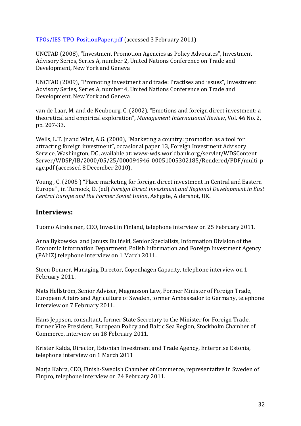TPOs/IES TPO\_PositionPaper.pdf (accessed 3 February 2011)

UNCTAD (2008), "Investment Promotion Agencies as Policy Advocates", Investment Advisory Series, Series A, number 2, United Nations Conference on Trade and Development, New York and Geneva

UNCTAD (2009), "Promoting investment and trade: Practises and issues", Investment Advisory Series, Series A, number 4, United Nations Conference on Trade and Development, New York and Geneva

van de Laar, M. and de Neubourg, C. (2002), "Emotions and foreign direct investment: a theoretical and empirical exploration", *Management International Review*, Vol. 46 No. 2. pp. 207-33.

Wells, L.T. Jr and Wint, A.G. (2000), "Marketing a country: promotion as a tool for attracting foreign investment", occasional paper 13, Foreign Investment Advisory Service, Washington, DC, available at: www-wds.worldbank.org/servlet/WDSContent Server/WDSP/IB/2000/05/25/000094946\_00051005302185/Rendered/PDF/multi\_p age.pdf (accessed 8 December 2010).

Young, C. (2005) "Place marketing for foreign direct investment in Central and Eastern Europe", in Turnock, D. (ed) *Foreign Direct Investment and Regional Development in East* Central Europe and the Former Soviet Union, Ashgate, Aldershot, UK.

#### **Interviews:**

Tuomo Airaksinen, CEO, Invest in Finland, telephone interview on 25 February 2011.

Anna Bykowska and Janusz Buliński, Senior Specialists, Information Division of the Economic Information Department, Polish Information and Foreign Investment Agency (PAIiIZ) telephone interview on 1 March 2011.

Steen Donner, Managing Director, Copenhagen Capacity, telephone interview on 1 February 2011.

Mats Hellström, Senior Adviser, Magnusson Law, Former Minister of Foreign Trade, European Affairs and Agriculture of Sweden, former Ambassador to Germany, telephone interview on 7 February 2011.

Hans Jeppson, consultant, former State Secretary to the Minister for Foreign Trade, former Vice President, European Policy and Baltic Sea Region, Stockholm Chamber of Commerce, interview on 18 February 2011.

Krister Kalda, Director, Estonian Investment and Trade Agency, Enterprise Estonia, telephone interview on 1 March 2011

Marja Kahra, CEO, Finish-Swedish Chamber of Commerce, representative in Sweden of Finpro, telephone interview on 24 February 2011.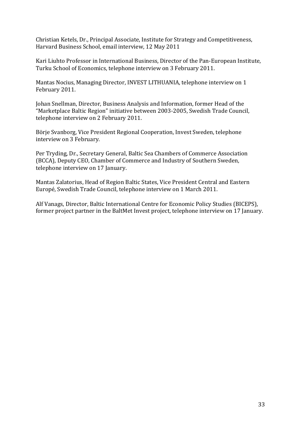Christian Ketels, Dr., Principal Associate, Institute for Strategy and Competitiveness, Harvard Business School, email interview, 12 May 2011

Kari Liuhto Professor in International Business, Director of the Pan-European Institute, Turku School of Economics, telephone interview on 3 February 2011.

Mantas Nocius, Managing Director, INVEST LITHUANIA, telephone interview on 1 February 2011.

Johan Snellman, Director, Business Analysis and Information, former Head of the "Marketplace Baltic Region" initiative between 2003-2005, Swedish Trade Council, telephone interview on 2 February 2011.

Börje Svanborg, Vice President Regional Cooperation, Invest Sweden, telephone interview on 3 February.

Per Tryding, Dr., Secretary General, Baltic Sea Chambers of Commerce Association (BCCA), Deputy CEO, Chamber of Commerce and Industry of Southern Sweden, telephone interview on 17 January.

Mantas Zalatorius, Head of Region Baltic States, Vice President Central and Eastern Europé, Swedish Trade Council, telephone interview on 1 March 2011.

Alf Vanags, Director, Baltic International Centre for Economic Policy Studies (BICEPS), former project partner in the BaltMet Invest project, telephone interview on 17 January.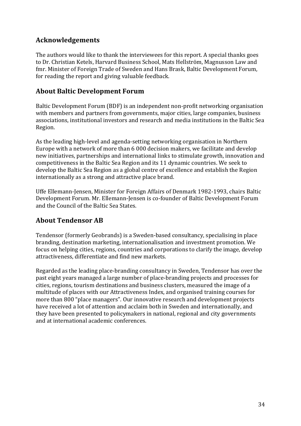## **Acknowledgements**

The authors would like to thank the interviewees for this report. A special thanks goes to Dr. Christian Ketels, Harvard Business School, Mats Hellström, Magnusson Law and fmr. Minister of Foreign Trade of Sweden and Hans Brask, Baltic Development Forum, for reading the report and giving valuable feedback.

## **About!Baltic!Development!Forum!**

Baltic Development Forum (BDF) is an independent non-profit networking organisation with members and partners from governments, major cities, large companies, business associations, institutional investors and research and media institutions in the Baltic Sea Region.

As the leading high-level and agenda-setting networking organisation in Northern Europe with a network of more than 6 000 decision makers, we facilitate and develop new initiatives, partnerships and international links to stimulate growth, innovation and competitiveness in the Baltic Sea Region and its 11 dynamic countries. We seek to develop the Baltic Sea Region as a global centre of excellence and establish the Region internationally as a strong and attractive place brand.

Uffe Ellemann-Jensen, Minister for Foreign Affairs of Denmark 1982-1993, chairs Baltic Development Forum. Mr. Ellemann-Jensen is co-founder of Baltic Development Forum and the Council of the Baltic Sea States.

## **About Tendensor AB**

Tendensor (formerly Geobrands) is a Sweden-based consultancy, specialising in place branding, destination marketing, internationalisation and investment promotion. We focus on helping cities, regions, countries and corporations to clarify the image, develop attractiveness, differentiate and find new markets.

Regarded as the leading place-branding consultancy in Sweden, Tendensor has over the past eight years managed a large number of place-branding projects and processes for cities, regions, tourism destinations and business clusters, measured the image of a multitude of places with our Attractiveness Index, and organised training courses for more than 800 "place managers". Our innovative research and development projects have received a lot of attention and acclaim both in Sweden and internationally, and they have been presented to policymakers in national, regional and city governments and at international academic conferences.